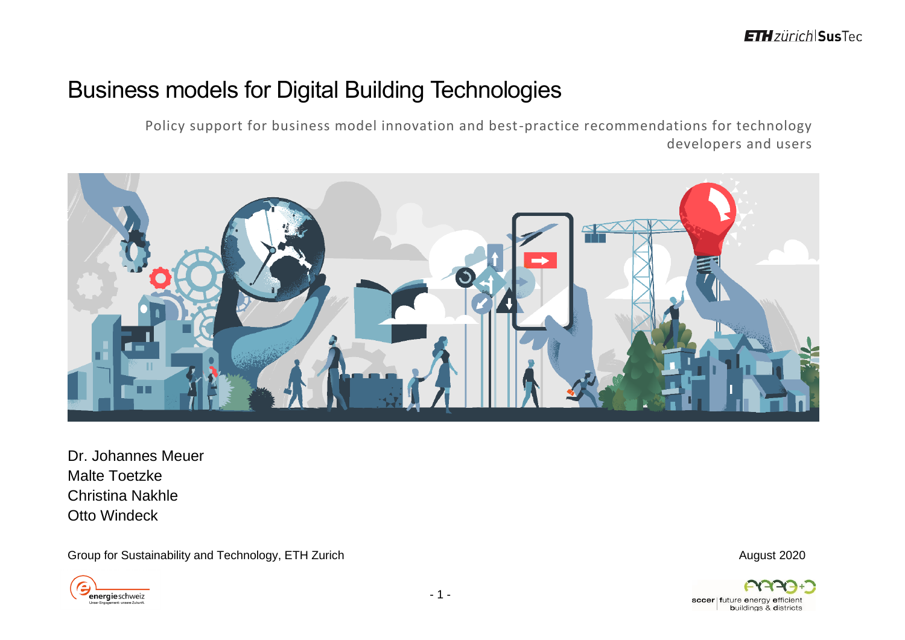# Business models for Digital Building Technologies

Policy support for business model innovation and best-practice recommendations for technology developers and users



Dr. Johannes Meuer Malte Toetzke Christina Nakhle Otto Windeck

Group for Sustainability and Technology, ETH Zurich August 2020 and Sustainability and Technology, ETH Zurich



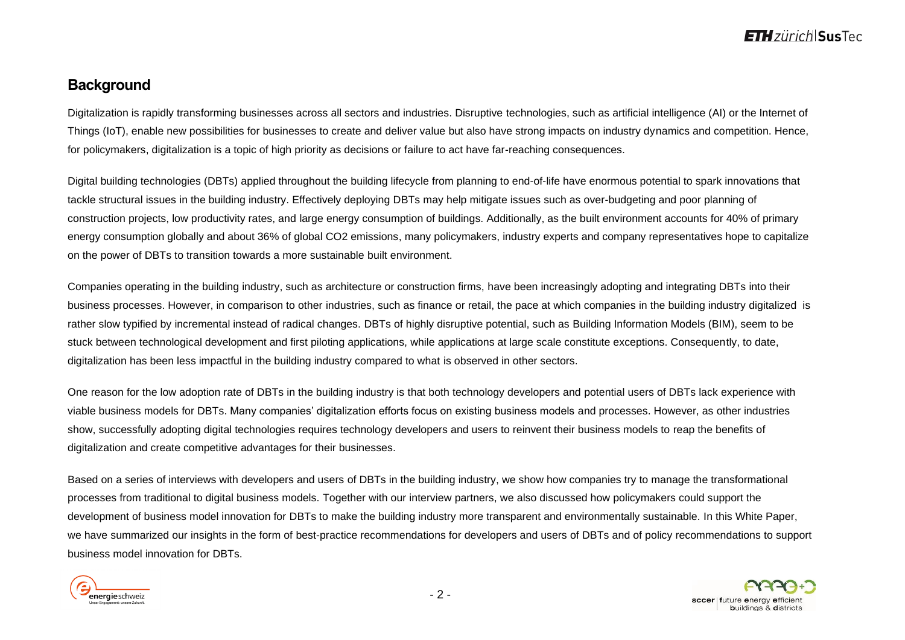### **Background**

Digitalization is rapidly transforming businesses across all sectors and industries. Disruptive technologies, such as artificial intelligence (AI) or the Internet of Things (IoT), enable new possibilities for businesses to create and deliver value but also have strong impacts on industry dynamics and competition. Hence, for policymakers, digitalization is a topic of high priority as decisions or failure to act have far-reaching consequences.

Digital building technologies (DBTs) applied throughout the building lifecycle from planning to end-of-life have enormous potential to spark innovations that tackle structural issues in the building industry. Effectively deploying DBTs may help mitigate issues such as over-budgeting and poor planning of construction projects, low productivity rates, and large energy consumption of buildings. Additionally, as the built environment accounts for 40% of primary energy consumption globally and about 36% of global CO2 emissions, many policymakers, industry experts and company representatives hope to capitalize on the power of DBTs to transition towards a more sustainable built environment.

Companies operating in the building industry, such as architecture or construction firms, have been increasingly adopting and integrating DBTs into their business processes. However, in comparison to other industries, such as finance or retail, the pace at which companies in the building industry digitalized is rather slow typified by incremental instead of radical changes. DBTs of highly disruptive potential, such as Building Information Models (BIM), seem to be stuck between technological development and first piloting applications, while applications at large scale constitute exceptions. Consequently, to date, digitalization has been less impactful in the building industry compared to what is observed in other sectors.

One reason for the low adoption rate of DBTs in the building industry is that both technology developers and potential users of DBTs lack experience with viable business models for DBTs. Many companies' digitalization efforts focus on existing business models and processes. However, as other industries show, successfully adopting digital technologies requires technology developers and users to reinvent their business models to reap the benefits of digitalization and create competitive advantages for their businesses.

Based on a series of interviews with developers and users of DBTs in the building industry, we show how companies try to manage the transformational processes from traditional to digital business models. Together with our interview partners, we also discussed how policymakers could support the development of business model innovation for DBTs to make the building industry more transparent and environmentally sustainable. In this White Paper, we have summarized our insights in the form of best-practice recommendations for developers and users of DBTs and of policy recommendations to support business model innovation for DBTs.



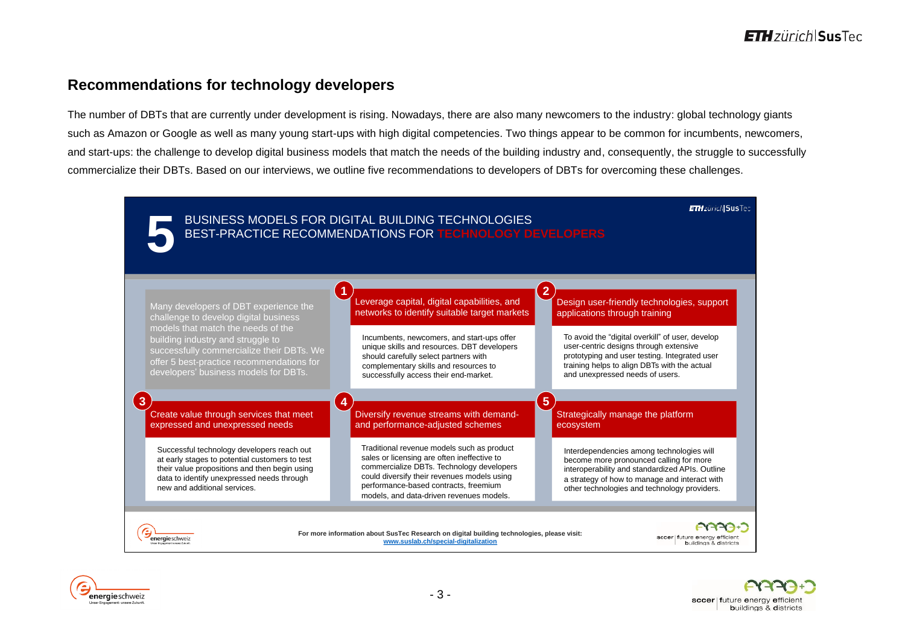### **Recommendations for technology developers**

The number of DBTs that are currently under development is rising. Nowadays, there are also many newcomers to the industry: global technology giants such as Amazon or Google as well as many young start-ups with high digital competencies. Two things appear to be common for incumbents, newcomers, and start-ups: the challenge to develop digital business models that match the needs of the building industry and, consequently, the struggle to successfully commercialize their DBTs. Based on our interviews, we outline five recommendations to developers of DBTs for overcoming these challenges.





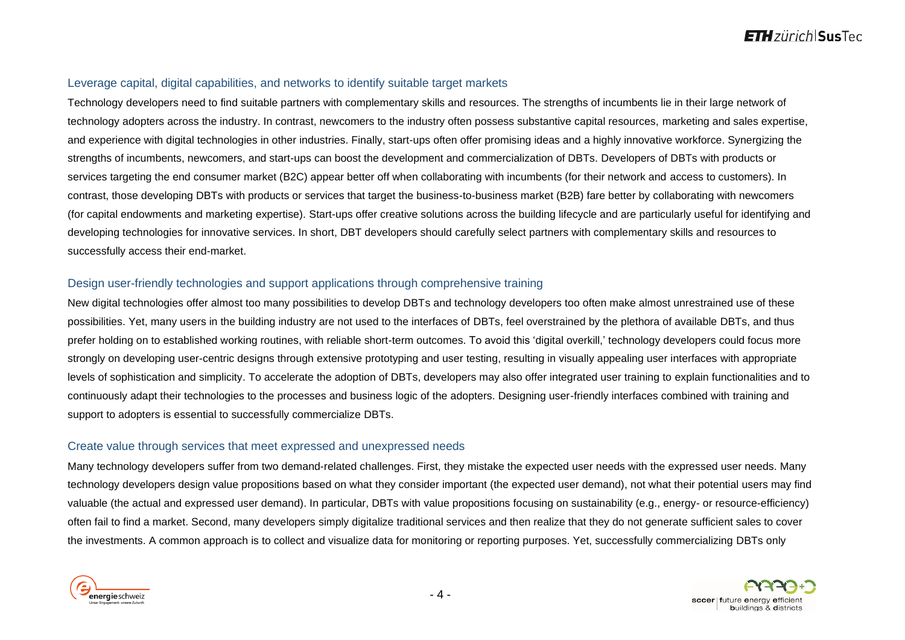#### Leverage capital, digital capabilities, and networks to identify suitable target markets

Technology developers need to find suitable partners with complementary skills and resources. The strengths of incumbents lie in their large network of technology adopters across the industry. In contrast, newcomers to the industry often possess substantive capital resources, marketing and sales expertise, and experience with digital technologies in other industries. Finally, start-ups often offer promising ideas and a highly innovative workforce. Synergizing the strengths of incumbents, newcomers, and start-ups can boost the development and commercialization of DBTs. Developers of DBTs with products or services targeting the end consumer market (B2C) appear better off when collaborating with incumbents (for their network and access to customers). In contrast, those developing DBTs with products or services that target the business-to-business market (B2B) fare better by collaborating with newcomers (for capital endowments and marketing expertise). Start-ups offer creative solutions across the building lifecycle and are particularly useful for identifying and developing technologies for innovative services. In short, DBT developers should carefully select partners with complementary skills and resources to successfully access their end-market.

### Design user-friendly technologies and support applications through comprehensive training

New digital technologies offer almost too many possibilities to develop DBTs and technology developers too often make almost unrestrained use of these possibilities. Yet, many users in the building industry are not used to the interfaces of DBTs, feel overstrained by the plethora of available DBTs, and thus prefer holding on to established working routines, with reliable short-term outcomes. To avoid this 'digital overkill,' technology developers could focus more strongly on developing user-centric designs through extensive prototyping and user testing, resulting in visually appealing user interfaces with appropriate levels of sophistication and simplicity. To accelerate the adoption of DBTs, developers may also offer integrated user training to explain functionalities and to continuously adapt their technologies to the processes and business logic of the adopters. Designing user-friendly interfaces combined with training and support to adopters is essential to successfully commercialize DBTs.

#### Create value through services that meet expressed and unexpressed needs

Many technology developers suffer from two demand-related challenges. First, they mistake the expected user needs with the expressed user needs. Many technology developers design value propositions based on what they consider important (the expected user demand), not what their potential users may find valuable (the actual and expressed user demand). In particular, DBTs with value propositions focusing on sustainability (e.g., energy- or resource-efficiency) often fail to find a market. Second, many developers simply digitalize traditional services and then realize that they do not generate sufficient sales to cover the investments. A common approach is to collect and visualize data for monitoring or reporting purposes. Yet, successfully commercializing DBTs only



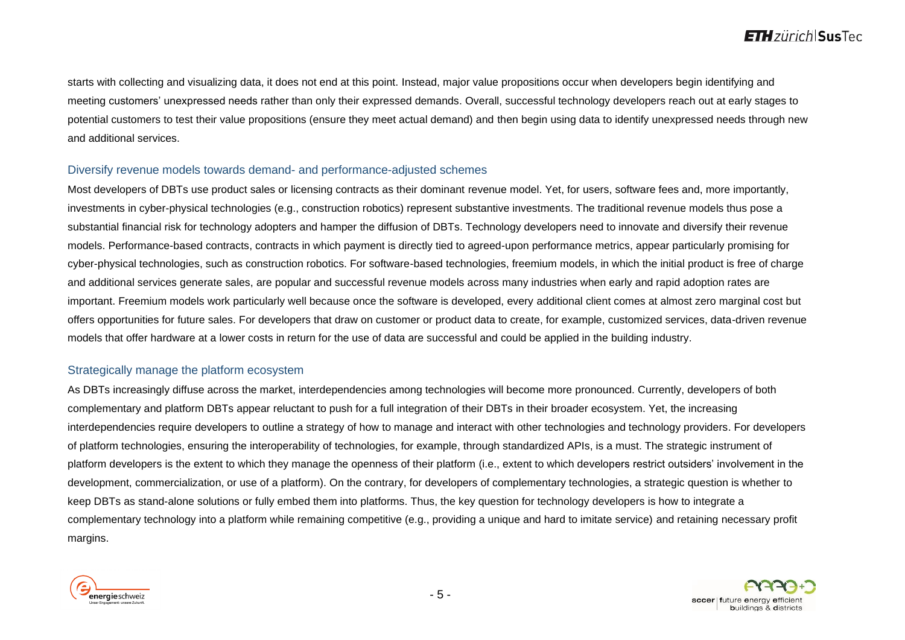starts with collecting and visualizing data, it does not end at this point. Instead, major value propositions occur when developers begin identifying and meeting customers' unexpressed needs rather than only their expressed demands. Overall, successful technology developers reach out at early stages to potential customers to test their value propositions (ensure they meet actual demand) and then begin using data to identify unexpressed needs through new and additional services.

#### Diversify revenue models towards demand- and performance-adjusted schemes

Most developers of DBTs use product sales or licensing contracts as their dominant revenue model. Yet, for users, software fees and, more importantly, investments in cyber-physical technologies (e.g., construction robotics) represent substantive investments. The traditional revenue models thus pose a substantial financial risk for technology adopters and hamper the diffusion of DBTs. Technology developers need to innovate and diversify their revenue models. Performance-based contracts, contracts in which payment is directly tied to agreed-upon performance metrics, appear particularly promising for cyber-physical technologies, such as construction robotics. For software-based technologies, freemium models, in which the initial product is free of charge and additional services generate sales, are popular and successful revenue models across many industries when early and rapid adoption rates are important. Freemium models work particularly well because once the software is developed, every additional client comes at almost zero marginal cost but offers opportunities for future sales. For developers that draw on customer or product data to create, for example, customized services, data-driven revenue models that offer hardware at a lower costs in return for the use of data are successful and could be applied in the building industry.

#### Strategically manage the platform ecosystem

As DBTs increasingly diffuse across the market, interdependencies among technologies will become more pronounced. Currently, developers of both complementary and platform DBTs appear reluctant to push for a full integration of their DBTs in their broader ecosystem. Yet, the increasing interdependencies require developers to outline a strategy of how to manage and interact with other technologies and technology providers. For developers of platform technologies, ensuring the interoperability of technologies, for example, through standardized APIs, is a must. The strategic instrument of platform developers is the extent to which they manage the openness of their platform (i.e., extent to which developers restrict outsiders' involvement in the development, commercialization, or use of a platform). On the contrary, for developers of complementary technologies, a strategic question is whether to keep DBTs as stand-alone solutions or fully embed them into platforms. Thus, the key question for technology developers is how to integrate a complementary technology into a platform while remaining competitive (e.g., providing a unique and hard to imitate service) and retaining necessary profit margins.



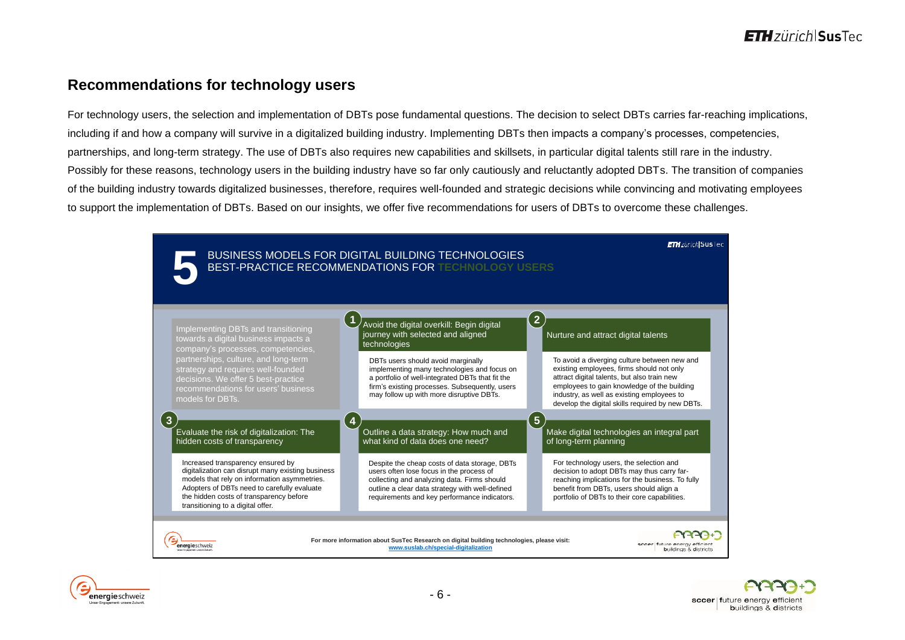### **Recommendations for technology users**

For technology users, the selection and implementation of DBTs pose fundamental questions. The decision to select DBTs carries far-reaching implications, including if and how a company will survive in a digitalized building industry. Implementing DBTs then impacts a company's processes, competencies, partnerships, and long-term strategy. The use of DBTs also requires new capabilities and skillsets, in particular digital talents still rare in the industry. Possibly for these reasons, technology users in the building industry have so far only cautiously and reluctantly adopted DBTs. The transition of companies of the building industry towards digitalized businesses, therefore, requires well-founded and strategic decisions while convincing and motivating employees to support the implementation of DBTs. Based on our insights, we offer five recommendations for users of DBTs to overcome these challenges.



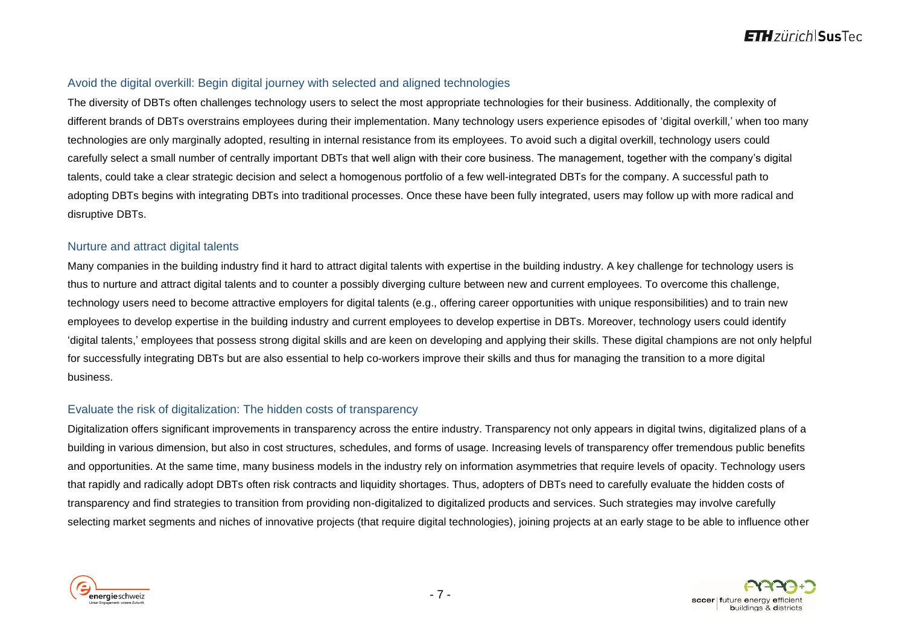#### Avoid the digital overkill: Begin digital journey with selected and aligned technologies

The diversity of DBTs often challenges technology users to select the most appropriate technologies for their business. Additionally, the complexity of different brands of DBTs overstrains employees during their implementation. Many technology users experience episodes of 'digital overkill,' when too many technologies are only marginally adopted, resulting in internal resistance from its employees. To avoid such a digital overkill, technology users could carefully select a small number of centrally important DBTs that well align with their core business. The management, together with the company's digital talents, could take a clear strategic decision and select a homogenous portfolio of a few well-integrated DBTs for the company. A successful path to adopting DBTs begins with integrating DBTs into traditional processes. Once these have been fully integrated, users may follow up with more radical and disruptive DBTs.

#### Nurture and attract digital talents

Many companies in the building industry find it hard to attract digital talents with expertise in the building industry. A key challenge for technology users is thus to nurture and attract digital talents and to counter a possibly diverging culture between new and current employees. To overcome this challenge, technology users need to become attractive employers for digital talents (e.g., offering career opportunities with unique responsibilities) and to train new employees to develop expertise in the building industry and current employees to develop expertise in DBTs. Moreover, technology users could identify 'digital talents,' employees that possess strong digital skills and are keen on developing and applying their skills. These digital champions are not only helpful for successfully integrating DBTs but are also essential to help co-workers improve their skills and thus for managing the transition to a more digital business.

#### Evaluate the risk of digitalization: The hidden costs of transparency

Digitalization offers significant improvements in transparency across the entire industry. Transparency not only appears in digital twins, digitalized plans of a building in various dimension, but also in cost structures, schedules, and forms of usage. Increasing levels of transparency offer tremendous public benefits and opportunities. At the same time, many business models in the industry rely on information asymmetries that require levels of opacity. Technology users that rapidly and radically adopt DBTs often risk contracts and liquidity shortages. Thus, adopters of DBTs need to carefully evaluate the hidden costs of transparency and find strategies to transition from providing non-digitalized to digitalized products and services. Such strategies may involve carefully selecting market segments and niches of innovative projects (that require digital technologies), joining projects at an early stage to be able to influence other



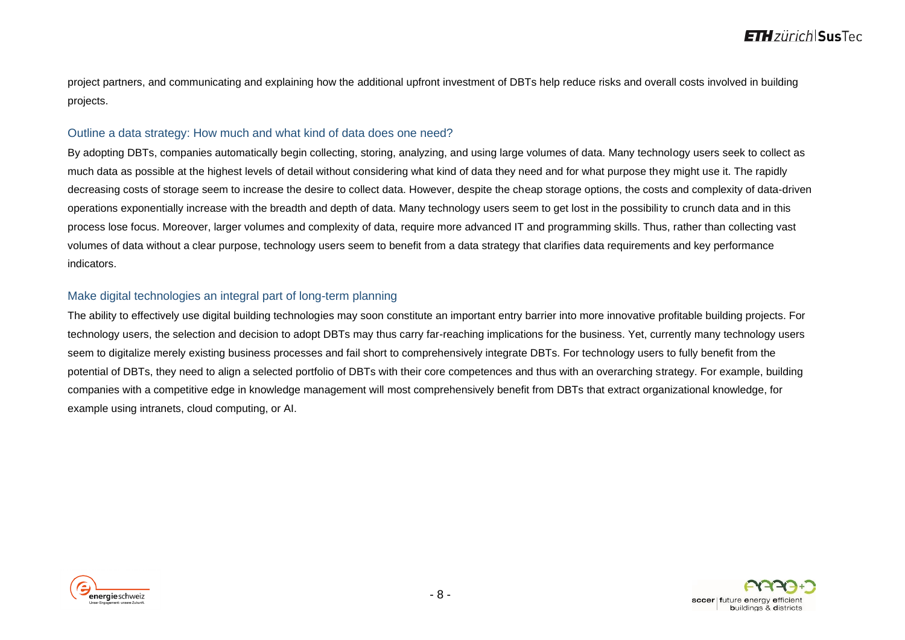project partners, and communicating and explaining how the additional upfront investment of DBTs help reduce risks and overall costs involved in building projects.

#### Outline a data strategy: How much and what kind of data does one need?

By adopting DBTs, companies automatically begin collecting, storing, analyzing, and using large volumes of data. Many technology users seek to collect as much data as possible at the highest levels of detail without considering what kind of data they need and for what purpose they might use it. The rapidly decreasing costs of storage seem to increase the desire to collect data. However, despite the cheap storage options, the costs and complexity of data-driven operations exponentially increase with the breadth and depth of data. Many technology users seem to get lost in the possibility to crunch data and in this process lose focus. Moreover, larger volumes and complexity of data, require more advanced IT and programming skills. Thus, rather than collecting vast volumes of data without a clear purpose, technology users seem to benefit from a data strategy that clarifies data requirements and key performance indicators.

### Make digital technologies an integral part of long-term planning

The ability to effectively use digital building technologies may soon constitute an important entry barrier into more innovative profitable building projects. For technology users, the selection and decision to adopt DBTs may thus carry far-reaching implications for the business. Yet, currently many technology users seem to digitalize merely existing business processes and fail short to comprehensively integrate DBTs. For technology users to fully benefit from the potential of DBTs, they need to align a selected portfolio of DBTs with their core competences and thus with an overarching strategy. For example, building companies with a competitive edge in knowledge management will most comprehensively benefit from DBTs that extract organizational knowledge, for example using intranets, cloud computing, or AI.



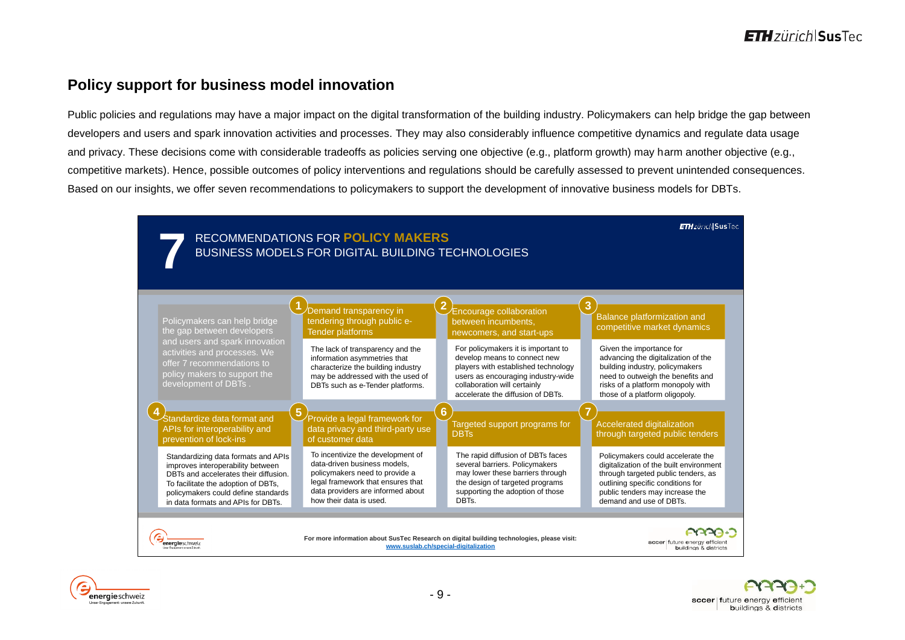### **Policy support for business model innovation**

Public policies and regulations may have a major impact on the digital transformation of the building industry. Policymakers can help bridge the gap between developers and users and spark innovation activities and processes. They may also considerably influence competitive dynamics and regulate data usage and privacy. These decisions come with considerable tradeoffs as policies serving one objective (e.g., platform growth) may harm another objective (e.g., competitive markets). Hence, possible outcomes of policy interventions and regulations should be carefully assessed to prevent unintended consequences. Based on our insights, we offer seven recommendations to policymakers to support the development of innovative business models for DBTs.





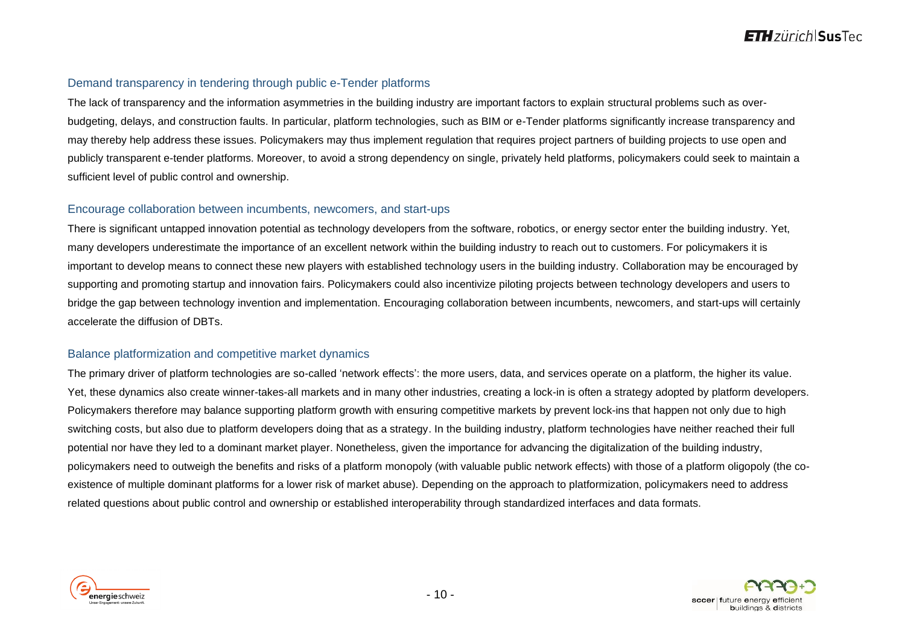### Demand transparency in tendering through public e-Tender platforms

The lack of transparency and the information asymmetries in the building industry are important factors to explain structural problems such as overbudgeting, delays, and construction faults. In particular, platform technologies, such as BIM or e-Tender platforms significantly increase transparency and may thereby help address these issues. Policymakers may thus implement regulation that requires project partners of building projects to use open and publicly transparent e-tender platforms. Moreover, to avoid a strong dependency on single, privately held platforms, policymakers could seek to maintain a sufficient level of public control and ownership.

#### Encourage collaboration between incumbents, newcomers, and start-ups

There is significant untapped innovation potential as technology developers from the software, robotics, or energy sector enter the building industry. Yet, many developers underestimate the importance of an excellent network within the building industry to reach out to customers. For policymakers it is important to develop means to connect these new players with established technology users in the building industry. Collaboration may be encouraged by supporting and promoting startup and innovation fairs. Policymakers could also incentivize piloting projects between technology developers and users to bridge the gap between technology invention and implementation. Encouraging collaboration between incumbents, newcomers, and start-ups will certainly accelerate the diffusion of DBTs.

#### Balance platformization and competitive market dynamics

The primary driver of platform technologies are so-called 'network effects': the more users, data, and services operate on a platform, the higher its value. Yet, these dynamics also create winner-takes-all markets and in many other industries, creating a lock-in is often a strategy adopted by platform developers. Policymakers therefore may balance supporting platform growth with ensuring competitive markets by prevent lock-ins that happen not only due to high switching costs, but also due to platform developers doing that as a strategy. In the building industry, platform technologies have neither reached their full potential nor have they led to a dominant market player. Nonetheless, given the importance for advancing the digitalization of the building industry, policymakers need to outweigh the benefits and risks of a platform monopoly (with valuable public network effects) with those of a platform oligopoly (the coexistence of multiple dominant platforms for a lower risk of market abuse). Depending on the approach to platformization, policymakers need to address related questions about public control and ownership or established interoperability through standardized interfaces and data formats.



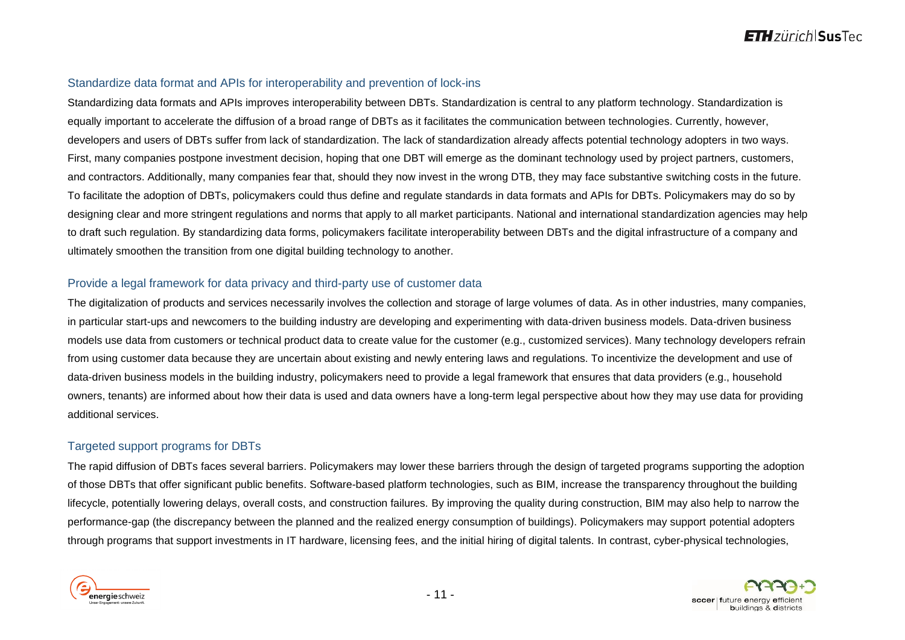### Standardize data format and APIs for interoperability and prevention of lock-ins

Standardizing data formats and APIs improves interoperability between DBTs. Standardization is central to any platform technology. Standardization is equally important to accelerate the diffusion of a broad range of DBTs as it facilitates the communication between technologies. Currently, however, developers and users of DBTs suffer from lack of standardization. The lack of standardization already affects potential technology adopters in two ways. First, many companies postpone investment decision, hoping that one DBT will emerge as the dominant technology used by project partners, customers, and contractors. Additionally, many companies fear that, should they now invest in the wrong DTB, they may face substantive switching costs in the future. To facilitate the adoption of DBTs, policymakers could thus define and regulate standards in data formats and APIs for DBTs. Policymakers may do so by designing clear and more stringent regulations and norms that apply to all market participants. National and international standardization agencies may help to draft such regulation. By standardizing data forms, policymakers facilitate interoperability between DBTs and the digital infrastructure of a company and ultimately smoothen the transition from one digital building technology to another.

### Provide a legal framework for data privacy and third-party use of customer data

The digitalization of products and services necessarily involves the collection and storage of large volumes of data. As in other industries, many companies, in particular start-ups and newcomers to the building industry are developing and experimenting with data-driven business models. Data-driven business models use data from customers or technical product data to create value for the customer (e.g., customized services). Many technology developers refrain from using customer data because they are uncertain about existing and newly entering laws and regulations. To incentivize the development and use of data-driven business models in the building industry, policymakers need to provide a legal framework that ensures that data providers (e.g., household owners, tenants) are informed about how their data is used and data owners have a long-term legal perspective about how they may use data for providing additional services.

#### Targeted support programs for DBTs

The rapid diffusion of DBTs faces several barriers. Policymakers may lower these barriers through the design of targeted programs supporting the adoption of those DBTs that offer significant public benefits. Software-based platform technologies, such as BIM, increase the transparency throughout the building lifecycle, potentially lowering delays, overall costs, and construction failures. By improving the quality during construction, BIM may also help to narrow the performance-gap (the discrepancy between the planned and the realized energy consumption of buildings). Policymakers may support potential adopters through programs that support investments in IT hardware, licensing fees, and the initial hiring of digital talents. In contrast, cyber-physical technologies,

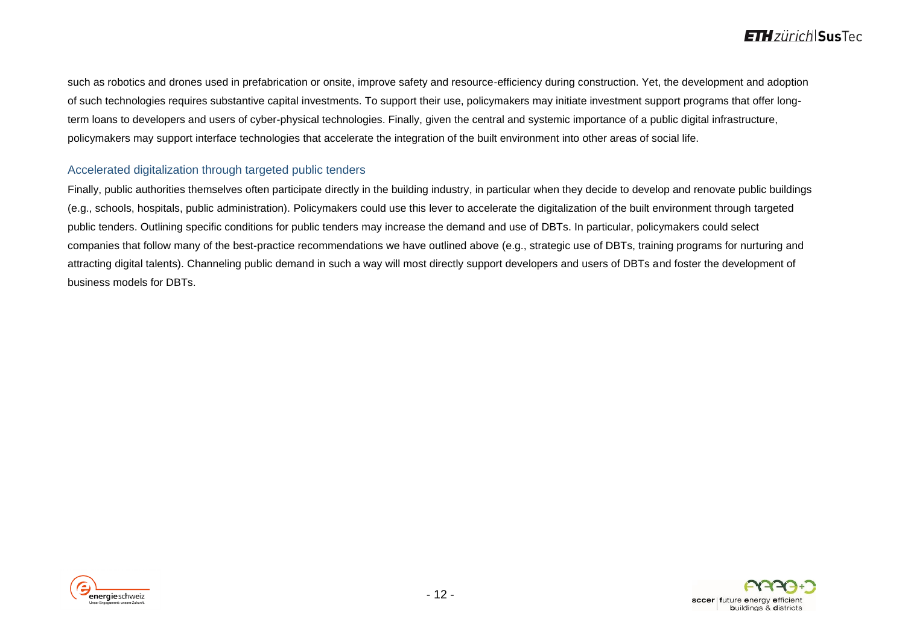such as robotics and drones used in prefabrication or onsite, improve safety and resource-efficiency during construction. Yet, the development and adoption of such technologies requires substantive capital investments. To support their use, policymakers may initiate investment support programs that offer longterm loans to developers and users of cyber-physical technologies. Finally, given the central and systemic importance of a public digital infrastructure, policymakers may support interface technologies that accelerate the integration of the built environment into other areas of social life.

#### Accelerated digitalization through targeted public tenders

Finally, public authorities themselves often participate directly in the building industry, in particular when they decide to develop and renovate public buildings (e.g., schools, hospitals, public administration). Policymakers could use this lever to accelerate the digitalization of the built environment through targeted public tenders. Outlining specific conditions for public tenders may increase the demand and use of DBTs. In particular, policymakers could select companies that follow many of the best-practice recommendations we have outlined above (e.g., strategic use of DBTs, training programs for nurturing and attracting digital talents). Channeling public demand in such a way will most directly support developers and users of DBTs and foster the development of business models for DBTs.